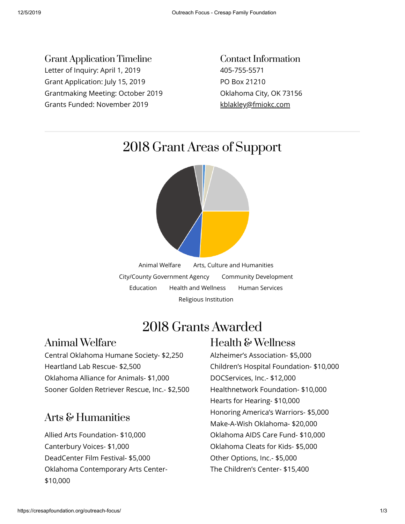Grant Application Timeline Letter of Inquiry: April 1, 2019 Grant Application: July 15, 2019 Grantmaking Meeting: October 2019 Grants Funded: November 2019

Contact Information 405-755-5571 PO Box 21210 Oklahoma City, OK 73156 [kblakley@fmiokc.com](mailto:kblakley@fmiokc.com)

## 2018 Grant Areas of Support



# 2018 Grants Awarded

#### Animal Welfare

Central Oklahoma Humane Society- \$2,250 Heartland Lab Rescue- \$2,500 Oklahoma Alliance for Animals- \$1,000 Sooner Golden Retriever Rescue, Inc.- \$2,500

#### Arts & Humanities

Allied Arts Foundation- \$10,000 Canterbury Voices- \$1,000 DeadCenter Film Festival- \$5,000 Oklahoma Contemporary Arts Center- \$10,000

### Health & Wellness

Alzheimer's Association- \$5,000 Children's Hospital Foundation- \$10,000 DOCServices, Inc.- \$12,000 Healthnetwork Foundation- \$10,000 Hearts for Hearing- \$10,000 Honoring America's Warriors- \$5,000 Make-A-Wish Oklahoma- \$20,000 Oklahoma AIDS Care Fund- \$10,000 Oklahoma Cleats for Kids- \$5,000 Other Options, Inc.- \$5,000 The Children's Center- \$15,400